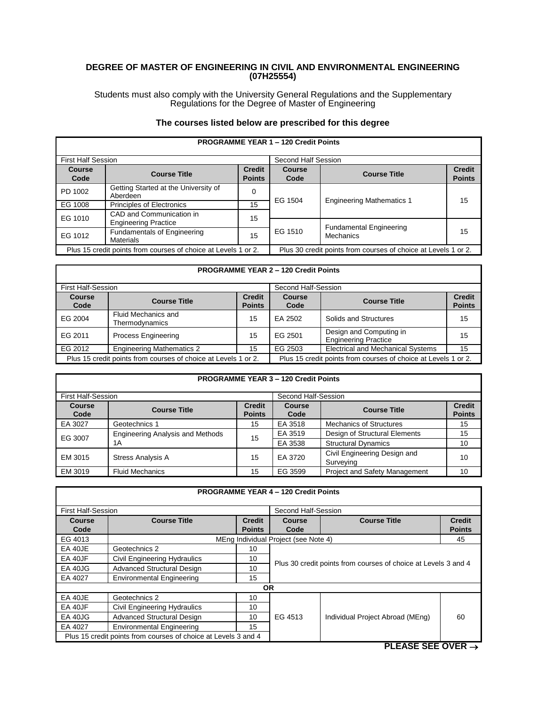### **DEGREE OF MASTER OF ENGINEERING IN CIVIL AND ENVIRONMENTAL ENGINEERING (07H25554)**

Students must also comply with the University General Regulations and the Supplementary Regulations for the Degree of Master of Engineering

# **The courses listed below are prescribed for this degree**

|                                                                |                                                         |                                | <b>PROGRAMME TEAR T-TZU GROTTPOINTS</b>                        |                                             |                                |
|----------------------------------------------------------------|---------------------------------------------------------|--------------------------------|----------------------------------------------------------------|---------------------------------------------|--------------------------------|
| <b>First Half Session</b>                                      |                                                         |                                | Second Half Session                                            |                                             |                                |
| <b>Course</b><br>Code                                          | <b>Course Title</b>                                     | <b>Credit</b><br><b>Points</b> | <b>Course</b><br>Code                                          | <b>Course Title</b>                         | <b>Credit</b><br><b>Points</b> |
| PD 1002                                                        | Getting Started at the University of<br>Aberdeen        | 0                              | EG 1504                                                        |                                             | 15                             |
| EG 1008                                                        | <b>Principles of Electronics</b>                        | 15                             |                                                                | <b>Engineering Mathematics 1</b>            |                                |
| EG 1010                                                        | CAD and Communication in<br><b>Engineering Practice</b> | 15                             |                                                                |                                             |                                |
| EG 1012                                                        | <b>Fundamentals of Engineering</b><br>Materials         | 15                             | EG 1510                                                        | <b>Fundamental Engineering</b><br>Mechanics | 15                             |
| Plus 15 credit points from courses of choice at Levels 1 or 2. |                                                         |                                | Plus 30 credit points from courses of choice at Levels 1 or 2. |                                             |                                |

#### **PROGRAMME YEAR 1 – 120 Credit Points**

Г

### **PROGRAMME YEAR 2 – 120 Credit Points**

| <b>First Half-Session</b>                                      |                                       |                                | Second Half-Session                                            |                                                        |                                |
|----------------------------------------------------------------|---------------------------------------|--------------------------------|----------------------------------------------------------------|--------------------------------------------------------|--------------------------------|
| <b>Course</b><br>Code                                          | <b>Course Title</b>                   | <b>Credit</b><br><b>Points</b> | <b>Course</b><br>Code                                          | <b>Course Title</b>                                    | <b>Credit</b><br><b>Points</b> |
| EG 2004                                                        | Fluid Mechanics and<br>Thermodynamics | 15                             | EA 2502                                                        | Solids and Structures                                  | 15                             |
| EG 2011                                                        | <b>Process Engineering</b>            | 15                             | EG 2501                                                        | Design and Computing in<br><b>Engineering Practice</b> | 15                             |
| EG 2012                                                        | <b>Engineering Mathematics 2</b>      | 15                             | EG 2503                                                        | <b>Electrical and Mechanical Systems</b>               | 15                             |
| Plus 15 credit points from courses of choice at Levels 1 or 2. |                                       |                                | Plus 15 credit points from courses of choice at Levels 1 or 2. |                                                        |                                |

## **PROGRAMME YEAR 3 – 120 Credit Points**

| <b>First Half-Session</b> |                                         |                                | Second Half-Session   |                                           |                                |
|---------------------------|-----------------------------------------|--------------------------------|-----------------------|-------------------------------------------|--------------------------------|
| <b>Course</b><br>Code     | <b>Course Title</b>                     | <b>Credit</b><br><b>Points</b> | <b>Course</b><br>Code | <b>Course Title</b>                       | <b>Credit</b><br><b>Points</b> |
| EA 3027                   | Geotechnics 1                           | 15                             | EA 3518               | <b>Mechanics of Structures</b>            | 15                             |
| EG 3007                   | <b>Engineering Analysis and Methods</b> | 15                             | EA 3519               | Design of Structural Elements             | 15                             |
|                           | 1Α                                      |                                | EA 3538               | <b>Structural Dynamics</b>                | 10                             |
| EM 3015                   | <b>Stress Analysis A</b>                | 15                             | EA 3720               | Civil Engineering Design and<br>Surveying | 10                             |
| EM 3019                   | <b>Fluid Mechanics</b>                  | 15                             | EG 3599               | <b>Project and Safety Management</b>      | 10                             |

| <b>PROGRAMME YEAR 4 - 120 Credit Points</b> |                                                                |               |                                                                |                     |               |
|---------------------------------------------|----------------------------------------------------------------|---------------|----------------------------------------------------------------|---------------------|---------------|
| <b>First Half-Session</b>                   |                                                                |               | Second Half-Session                                            |                     |               |
| Course                                      | <b>Course Title</b>                                            | <b>Credit</b> | Course                                                         | <b>Course Title</b> | <b>Credit</b> |
| Code                                        |                                                                | <b>Points</b> | Code                                                           |                     | <b>Points</b> |
| EG 4013                                     |                                                                |               | MEng Individual Project (see Note 4)                           |                     | 45            |
| EA 40JE                                     | Geotechnics 2                                                  | 10            | Plus 30 credit points from courses of choice at Levels 3 and 4 |                     |               |
| EA 40JF                                     | Civil Engineering Hydraulics                                   | 10            |                                                                |                     |               |
| <b>EA 40JG</b>                              | Advanced Structural Design                                     | 10            |                                                                |                     |               |
| EA 4027                                     | <b>Environmental Engineering</b>                               | 15            |                                                                |                     |               |
| <b>OR</b>                                   |                                                                |               |                                                                |                     |               |
| EA 40JE                                     | Geotechnics 2                                                  | 10            |                                                                |                     |               |
| EA 40JF                                     | Civil Engineering Hydraulics                                   | 10            | EG 4513<br>Individual Project Abroad (MEng)                    |                     |               |
| <b>EA 40JG</b>                              | Advanced Structural Design                                     | 10            |                                                                | 60                  |               |
| EA 4027                                     | <b>Environmental Engineering</b>                               | 15            |                                                                |                     |               |
|                                             | Plus 15 credit points from courses of choice at Levels 3 and 4 |               |                                                                |                     |               |

**PLEASE SEE OVER** →